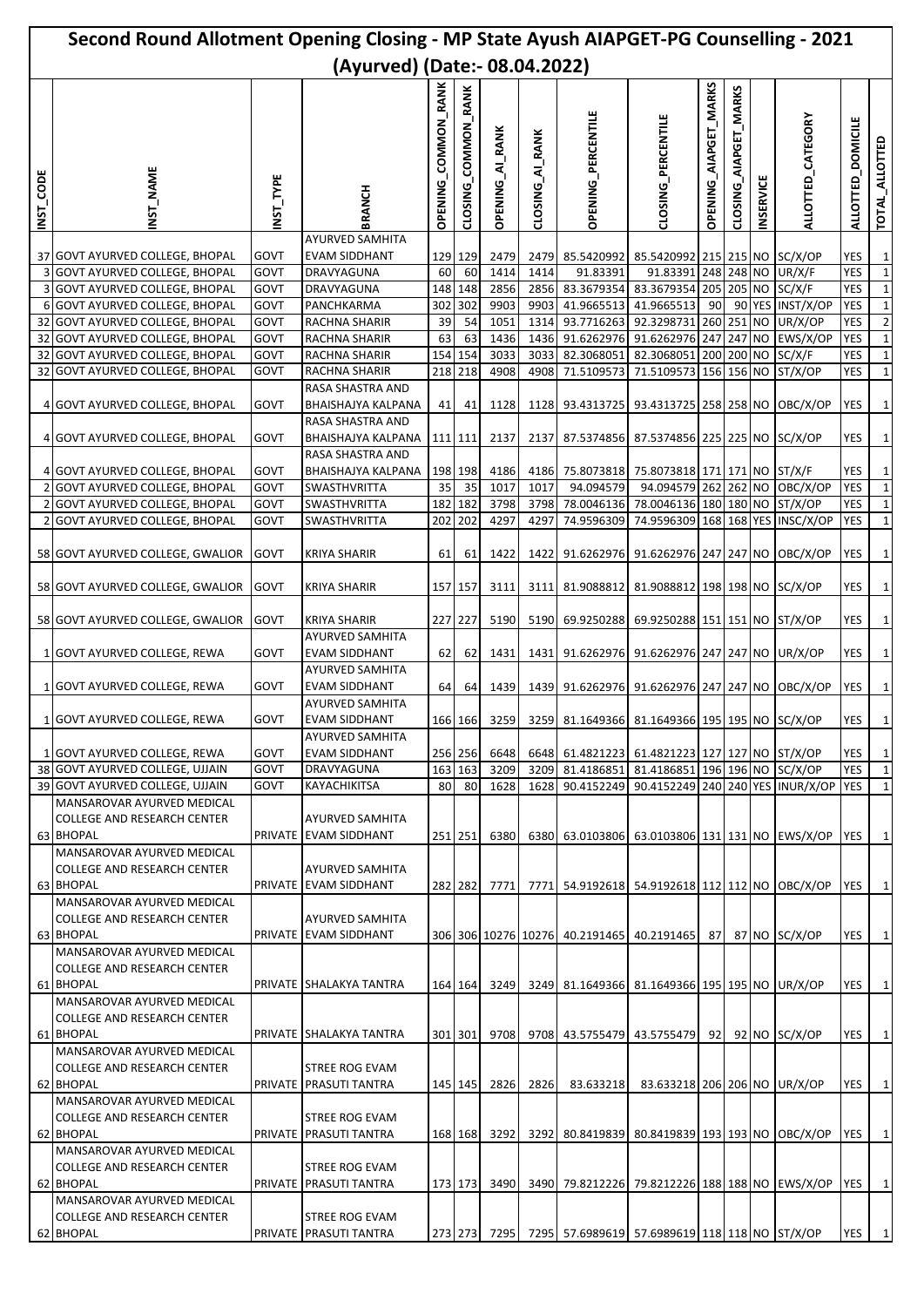| Second Round Allotment Opening Closing - MP State Ayush AIAPGET-PG Counselling - 2021 |                                                                                                             |              |                                                                   |                                      |                     |                        |                 |                                                            |                                  |                       |                          |                  |                          |                                    |                              |
|---------------------------------------------------------------------------------------|-------------------------------------------------------------------------------------------------------------|--------------|-------------------------------------------------------------------|--------------------------------------|---------------------|------------------------|-----------------|------------------------------------------------------------|----------------------------------|-----------------------|--------------------------|------------------|--------------------------|------------------------------------|------------------------------|
| (Ayurved) (Date:- 08.04.2022)                                                         |                                                                                                             |              |                                                                   |                                      |                     |                        |                 |                                                            |                                  |                       |                          |                  |                          |                                    |                              |
| <b>INST_CODE</b>                                                                      | NST NAME                                                                                                    | NST_TYPE     | BRANCH                                                            | <b>COMMON_RANK</b><br><b>OPENING</b> | CLOSING_COMMON_RANK | <b>OPENING_AI_RANK</b> | CLOSING_AI_RANK | <b>OPENING_PERCENTILE</b>                                  | CLOSING PERCENTILE               | OPENING_AIAPGET_MARKS | AIAPGET_MARKS<br>CLOSING | <b>INSERVICE</b> | <b>ALLOTTED_CATEGORY</b> | <b>DOMICILE</b><br><b>ALLOTTED</b> | TOTAL_ALLOTTED               |
|                                                                                       |                                                                                                             |              | AYURVED SAMHITA                                                   |                                      |                     |                        |                 |                                                            |                                  |                       |                          |                  |                          |                                    |                              |
|                                                                                       | 37 GOVT AYURVED COLLEGE, BHOPAL<br>3 GOVT AYURVED COLLEGE, BHOPAL                                           | GOVT<br>GOVT | <b>EVAM SIDDHANT</b><br>DRAVYAGUNA                                | 60                                   | 129 129<br>60       | 2479<br>1414           | 1414            | 2479 85.5420992 85.5420992 215 215 NO<br>91.83391          | 91.83391 248 248 NO              |                       |                          |                  | SC/X/OP<br>UR/X/F        | YES<br><b>YES</b>                  | $\mathbf{1}$<br>$\mathbf{1}$ |
|                                                                                       | 3 GOVT AYURVED COLLEGE, BHOPAL                                                                              | GOVT         | DRAVYAGUNA                                                        |                                      | 148 148             | 2856                   |                 | 2856 83.3679354 83.3679354 205 205 NO                      |                                  |                       |                          |                  | SC/X/F                   | YES                                | $\mathbf{1}$                 |
|                                                                                       | 6 GOVT AYURVED COLLEGE, BHOPAL                                                                              | GOVT         | PANCHKARMA                                                        |                                      | 302 302             | 9903                   | 9903            | 41.9665513 41.9665513                                      |                                  | $90 \square$          |                          |                  | 90 YES INST/X/OP         | YES                                | $\mathbf{1}$                 |
|                                                                                       | 32 GOVT AYURVED COLLEGE, BHOPAL                                                                             | GOVT         | RACHNA SHARIR                                                     | 39                                   | 54                  | 1051                   | 1314            |                                                            | 93.7716263 92.3298731 260 251 NO |                       |                          |                  | UR/X/OP                  | YES                                | $\overline{2}$               |
|                                                                                       | 32 GOVT AYURVED COLLEGE, BHOPAL                                                                             | GOVT         | RACHNA SHARIR                                                     | 63                                   | 63                  | 1436                   |                 | 1436 91.6262976 91.6262976 247 247 NO                      |                                  |                       |                          |                  | EWS/X/OP                 | <b>YES</b>                         | $\mathbf 1$                  |
|                                                                                       | 32 GOVT AYURVED COLLEGE, BHOPAL<br>32 GOVT AYURVED COLLEGE, BHOPAL                                          | GOVT         | RACHNA SHARIR                                                     |                                      | 154 154<br>218 218  | 3033                   |                 | 3033 82.3068051 82.3068051 200 200 NO                      |                                  |                       |                          |                  | SC/X/F                   | YES                                | $\mathbf 1$                  |
|                                                                                       |                                                                                                             | GOVT         | RACHNA SHARIR<br>RASA SHASTRA AND                                 |                                      |                     | 4908                   | 4908            | 71.5109573                                                 | 71.5109573 156 156 NO            |                       |                          |                  | ST/X/OP                  | YES                                | $\mathbf 1$                  |
|                                                                                       | 4 GOVT AYURVED COLLEGE, BHOPAL                                                                              | GOVT         | BHAISHAJYA KALPANA<br>RASA SHASTRA AND                            | 41                                   | 41                  | 1128                   |                 | 1128 93.4313725 93.4313725 258 258 NO                      |                                  |                       |                          |                  | OBC/X/OP                 | YES                                | $\mathbf 1$                  |
|                                                                                       | 4 GOVT AYURVED COLLEGE, BHOPAL                                                                              | GOVT         | BHAISHAJYA KALPANA                                                |                                      | 111 111             | 2137                   |                 | 2137 87.5374856 87.5374856 225 225 NO SC/X/OP              |                                  |                       |                          |                  |                          | YES                                | $\mathbf{1}$                 |
|                                                                                       |                                                                                                             |              | RASA SHASTRA AND                                                  |                                      |                     |                        |                 |                                                            |                                  |                       |                          |                  |                          |                                    |                              |
|                                                                                       | 4 GOVT AYURVED COLLEGE, BHOPAL                                                                              | GOVT         | BHAISHAJYA KALPANA                                                |                                      | 198 198             | 4186                   |                 | 4186 75.8073818 75.8073818 171 171 NO ST/X/F               |                                  |                       |                          |                  |                          | YES                                | $\mathbf{1}$                 |
|                                                                                       | 2 GOVT AYURVED COLLEGE, BHOPAL                                                                              | GOVT         | SWASTHVRITTA                                                      | 35 <sub>l</sub>                      | 35                  | 1017                   | 1017            | 94.094579                                                  | 94.094579 262 262 NO             |                       |                          |                  | OBC/X/OP                 | YES                                | $\mathbf 1$                  |
|                                                                                       | <b>GOVT AYURVED COLLEGE, BHOPAL</b>                                                                         | GOVT         | SWASTHVRITTA                                                      |                                      | 182 182             | 3798                   | 3798            | 78.0046136                                                 | 78.0046136 180 180 NO ST/X/OP    |                       |                          |                  |                          | YES                                | $\mathbf 1$                  |
| 2                                                                                     | <b>GOVT AYURVED COLLEGE, BHOPAL</b>                                                                         | GOVT         | SWASTHVRITTA                                                      |                                      | 202 202             | 4297                   | 4297            | 74.9596309                                                 | 74.9596309 168 168 YES INSC/X/OP |                       |                          |                  |                          | <b>YES</b>                         | $\mathbf{1}$                 |
|                                                                                       | 58 GOVT AYURVED COLLEGE, GWALIOR                                                                            | GOVT         | <b>KRIYA SHARIR</b>                                               | 61                                   | 61                  | 1422                   |                 | 1422 91.6262976 91.6262976 247 247 NO                      |                                  |                       |                          |                  | OBC/X/OP                 | YES                                | $\mathbf{1}$                 |
|                                                                                       | 58 GOVT AYURVED COLLEGE, GWALIOR                                                                            | GOVT         | <b>KRIYA SHARIR</b>                                               |                                      | 157 157             | 3111                   |                 | 3111 81.9088812 81.9088812 198 198 NO SC/X/OP              |                                  |                       |                          |                  |                          | YES                                | $\mathbf{1}$                 |
|                                                                                       | 58 GOVT AYURVED COLLEGE, GWALIOR                                                                            | GOVT         | <b>KRIYA SHARIR</b>                                               |                                      | 227 227             | 5190                   |                 | 5190 69.9250288 69.9250288 151 151 NO ST/X/OP              |                                  |                       |                          |                  |                          | YES                                | $\mathbf{1}$                 |
|                                                                                       | 1 GOVT AYURVED COLLEGE, REWA                                                                                | GOVT         | <b>AYURVED SAMHITA</b><br><b>EVAM SIDDHANT</b><br>AYURVED SAMHITA | 62                                   | 62                  | 1431                   |                 | 1431 91.6262976 91.6262976 247 247 NO UR/X/OP              |                                  |                       |                          |                  |                          | YES                                | $\mathbf{1}$                 |
|                                                                                       | 1 GOVT AYURVED COLLEGE, REWA                                                                                | GOVT         | <b>EVAM SIDDHANT</b><br><b>AYURVED SAMHITA</b>                    | 64                                   | 64                  | 1439                   |                 | 1439 91.6262976 91.6262976 247 247 NO                      |                                  |                       |                          |                  | OBC/X/OP                 | YES                                | $\mathbf 1$                  |
|                                                                                       | 1 GOVT AYURVED COLLEGE. REWA                                                                                | <b>GOVT</b>  | <b>EVAM SIDDHANT</b><br>AYURVED SAMHITA                           |                                      |                     |                        |                 | 166 166 3259 3259 81.1649366 81.1649366 195 195 NO SC/X/OP |                                  |                       |                          |                  |                          | <b>YES</b>                         | $\mathbf{1}$                 |
|                                                                                       | 1 GOVT AYURVED COLLEGE, REWA                                                                                | GOVT         | <b>EVAM SIDDHANT</b>                                              |                                      | 256 256             | 6648                   |                 | 6648 61.4821223 61.4821223 127 127 NO ST/X/OP              |                                  |                       |                          |                  |                          | YES                                | $\mathbf{1}$                 |
|                                                                                       | 38 GOVT AYURVED COLLEGE, UJJAIN                                                                             | GOVT         | DRAVYAGUNA                                                        |                                      | 163 163             | 3209                   |                 | 3209 81.4186851 81.4186851 196 196 NO SC/X/OP              |                                  |                       |                          |                  |                          | YES                                | $\mathbf{1}$                 |
|                                                                                       | 39 GOVT AYURVED COLLEGE, UJJAIN                                                                             | GOVT         | KAYACHIKITSA                                                      | 80                                   | 80                  | 1628                   |                 | 1628 90.4152249 90.4152249 240 240 YES INUR/X/OP YES       |                                  |                       |                          |                  |                          |                                    | $\mathbf{1}$                 |
|                                                                                       | MANSAROVAR AYURVED MEDICAL<br><b>COLLEGE AND RESEARCH CENTER</b><br>63 BHOPAL                               |              | <b>AYURVED SAMHITA</b><br>PRIVATE EVAM SIDDHANT                   |                                      | 251 251             | 6380                   |                 | 6380 63.0103806 63.0103806 131 131 NO                      |                                  |                       |                          |                  | EWS/X/OP                 | YES                                | $\mathbf{1}$                 |
|                                                                                       | MANSAROVAR AYURVED MEDICAL<br><b>COLLEGE AND RESEARCH CENTER</b><br>63 BHOPAL                               |              | <b>AYURVED SAMHITA</b><br>PRIVATE EVAM SIDDHANT                   |                                      | 282 282             | 7771                   |                 | 7771 54.9192618 54.9192618 112 112 NO                      |                                  |                       |                          |                  | OBC/X/OP                 | YES                                | $\mathbf{1}$                 |
|                                                                                       | MANSAROVAR AYURVED MEDICAL<br><b>COLLEGE AND RESEARCH CENTER</b><br>63 BHOPAL<br>MANSAROVAR AYURVED MEDICAL |              | <b>AYURVED SAMHITA</b><br>PRIVATE EVAM SIDDHANT                   |                                      |                     |                        |                 | 306 306 10276 10276 40.2191465 40.2191465                  |                                  | 87                    |                          | 87 NO            | SC/X/OP                  | YES                                | $\mathbf{1}$                 |
|                                                                                       | <b>COLLEGE AND RESEARCH CENTER</b><br>61 BHOPAL<br>MANSAROVAR AYURVED MEDICAL                               |              | PRIVATE SHALAKYA TANTRA                                           |                                      | 164 164             | 3249                   |                 | 3249 81.1649366 81.1649366 195 195 NO                      |                                  |                       |                          |                  | UR/X/OP                  | YES                                | $\mathbf{1}$                 |
|                                                                                       | <b>COLLEGE AND RESEARCH CENTER</b><br>61 BHOPAL                                                             |              | PRIVATE SHALAKYA TANTRA                                           |                                      | 301 301             | 9708                   |                 | 9708 43.5755479 43.5755479                                 |                                  | 921                   |                          |                  | 92 NO SC/X/OP            | YES                                | $\mathbf{1}$                 |
|                                                                                       | MANSAROVAR AYURVED MEDICAL<br><b>COLLEGE AND RESEARCH CENTER</b><br>62 BHOPAL                               |              | STREE ROG EVAM<br>PRIVATE PRASUTI TANTRA                          |                                      | 145 145             | 2826                   | 2826            | 83.633218                                                  | 83.633218 206 206 NO             |                       |                          |                  | UR/X/OP                  | YES                                | $\mathbf{1}$                 |
|                                                                                       | MANSAROVAR AYURVED MEDICAL<br><b>COLLEGE AND RESEARCH CENTER</b><br>62 BHOPAL                               |              | STREE ROG EVAM<br>PRIVATE PRASUTI TANTRA                          |                                      | 168 168             | 3292                   |                 | 3292 80.8419839                                            | 80.8419839 193 193 NO            |                       |                          |                  | OBC/X/OP                 | YES                                | $\mathbf{1}$                 |
|                                                                                       | MANSAROVAR AYURVED MEDICAL<br><b>COLLEGE AND RESEARCH CENTER</b><br>62 BHOPAL                               |              | STREE ROG EVAM<br>PRIVATE PRASUTI TANTRA                          |                                      | 173 173             | 3490                   |                 | 3490 79.8212226 79.8212226 188 188 NO EWS/X/OP             |                                  |                       |                          |                  |                          | YES                                | $\mathbf{1}$                 |
|                                                                                       | MANSAROVAR AYURVED MEDICAL                                                                                  |              |                                                                   |                                      |                     |                        |                 |                                                            |                                  |                       |                          |                  |                          |                                    |                              |
|                                                                                       | <b>COLLEGE AND RESEARCH CENTER</b>                                                                          |              | STREE ROG EVAM                                                    |                                      |                     |                        |                 |                                                            |                                  |                       |                          |                  |                          |                                    |                              |
|                                                                                       | 62 BHOPAL                                                                                                   |              | PRIVATE PRASUTI TANTRA                                            |                                      |                     | 273 273 7295           |                 | 7295 57.6989619 57.6989619 118 118 NO ST/X/OP              |                                  |                       |                          |                  |                          | YES                                | $\mathbf{1}$                 |